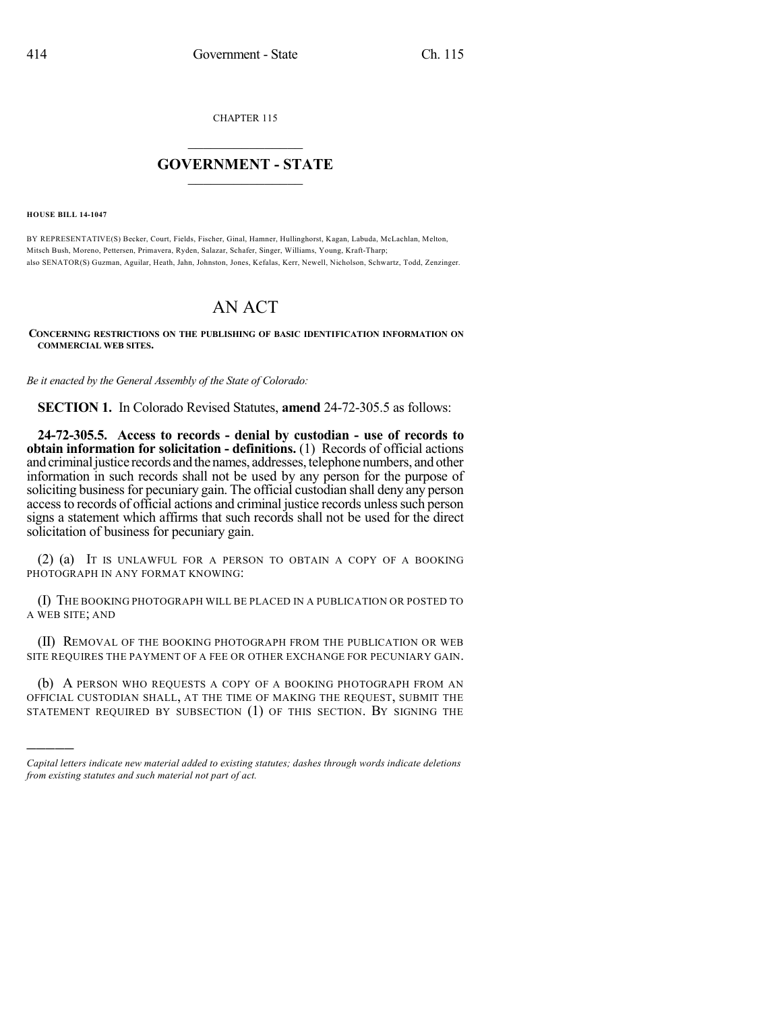CHAPTER 115

## $\overline{\phantom{a}}$  . The set of the set of the set of the set of the set of the set of the set of the set of the set of the set of the set of the set of the set of the set of the set of the set of the set of the set of the set o **GOVERNMENT - STATE**  $\_$

**HOUSE BILL 14-1047**

)))))

BY REPRESENTATIVE(S) Becker, Court, Fields, Fischer, Ginal, Hamner, Hullinghorst, Kagan, Labuda, McLachlan, Melton, Mitsch Bush, Moreno, Pettersen, Primavera, Ryden, Salazar, Schafer, Singer, Williams, Young, Kraft-Tharp; also SENATOR(S) Guzman, Aguilar, Heath, Jahn, Johnston, Jones, Kefalas, Kerr, Newell, Nicholson, Schwartz, Todd, Zenzinger.

## AN ACT

**CONCERNING RESTRICTIONS ON THE PUBLISHING OF BASIC IDENTIFICATION INFORMATION ON COMMERCIAL WEB SITES.**

*Be it enacted by the General Assembly of the State of Colorado:*

**SECTION 1.** In Colorado Revised Statutes, **amend** 24-72-305.5 as follows:

**24-72-305.5. Access to records - denial by custodian - use of records to obtain information for solicitation - definitions.** (1) Records of official actions and criminal justice records and the names, addresses, telephone numbers, and other information in such records shall not be used by any person for the purpose of soliciting business for pecuniary gain. The official custodian shall deny any person access to records of official actions and criminal justice records unless such person signs a statement which affirms that such records shall not be used for the direct solicitation of business for pecuniary gain.

(2) (a) IT IS UNLAWFUL FOR A PERSON TO OBTAIN A COPY OF A BOOKING PHOTOGRAPH IN ANY FORMAT KNOWING:

(I) THE BOOKING PHOTOGRAPH WILL BE PLACED IN A PUBLICATION OR POSTED TO A WEB SITE; AND

(II) REMOVAL OF THE BOOKING PHOTOGRAPH FROM THE PUBLICATION OR WEB SITE REQUIRES THE PAYMENT OF A FEE OR OTHER EXCHANGE FOR PECUNIARY GAIN.

(b) A PERSON WHO REQUESTS A COPY OF A BOOKING PHOTOGRAPH FROM AN OFFICIAL CUSTODIAN SHALL, AT THE TIME OF MAKING THE REQUEST, SUBMIT THE STATEMENT REQUIRED BY SUBSECTION (1) OF THIS SECTION. BY SIGNING THE

*Capital letters indicate new material added to existing statutes; dashes through words indicate deletions from existing statutes and such material not part of act.*